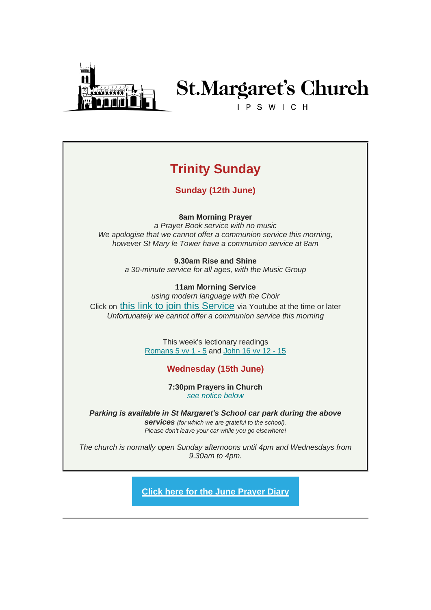

# **St.Margaret's Church**

IPSWICH

# **Trinity Sunday**

**Sunday (12th June)**

### **8am Morning Prayer**

*a Prayer Book service with no music We apologise that we cannot offer a communion service this morning, however St Mary le Tower have a communion service at 8am*

> **9.30am Rise and Shine** *a 30-minute service for all ages, with the Music Group*

**11am Morning Service** *using modern language with the Choir* Click on [this link to join this Service](https://stmargaretsipswich.us18.list-manage.com/track/click?u=00f35ffe4f14f96cb2284d5af&id=ce7f74dbff&e=a489694140) via Youtube at the time or later *Unfortunately we cannot offer a communion service this morning*

> This week's lectionary readings [Romans 5 vv 1 -](https://stmargaretsipswich.us18.list-manage.com/track/click?u=00f35ffe4f14f96cb2284d5af&id=788849ca04&e=a489694140) 5 and [John 16 vv 12 -](https://stmargaretsipswich.us18.list-manage.com/track/click?u=00f35ffe4f14f96cb2284d5af&id=7d8803f749&e=a489694140) 15

# **Wednesday (15th June)**

**7:30pm Prayers in Church** *[see notice below](http://#WedPrayers)*

*Parking is available in St Margaret's School car park during the above services (for which we are grateful to the school). Please don't leave your car while you go elsewhere!*

*The church is normally open Sunday afternoons until 4pm and Wednesdays from 9.30am to 4pm.*

**[Click here for the June Prayer Diary](https://stmargaretsipswich.us18.list-manage.com/track/click?u=00f35ffe4f14f96cb2284d5af&id=ef4609775c&e=a489694140)**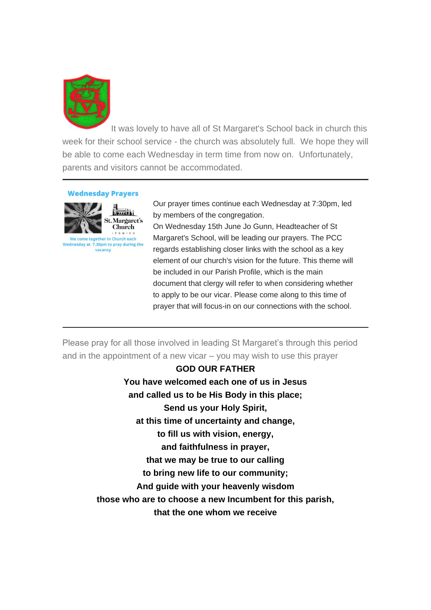

It was lovely to have all of St Margaret's School back in church this week for their school service - the church was absolutely full. We hope they will be able to come each Wednesday in term time from now on. Unfortunately, parents and visitors cannot be accommodated.

#### **Wednesday Prayers**



Our prayer times continue each Wednesday at 7:30pm, led by members of the congregation.

On Wednesday 15th June Jo Gunn, Headteacher of St Margaret's School, will be leading our prayers. The PCC regards establishing closer links with the school as a key element of our church's vision for the future. This theme will be included in our Parish Profile, which is the main document that clergy will refer to when considering whether to apply to be our vicar. Please come along to this time of prayer that will focus-in on our connections with the school.

Please pray for all those involved in leading St Margaret's through this period and in the appointment of a new vicar – you may wish to use this prayer

> **GOD OUR FATHER You have welcomed each one of us in Jesus and called us to be His Body in this place; Send us your Holy Spirit, at this time of uncertainty and change, to fill us with vision, energy, and faithfulness in prayer, that we may be true to our calling to bring new life to our community; And guide with your heavenly wisdom those who are to choose a new Incumbent for this parish, that the one whom we receive**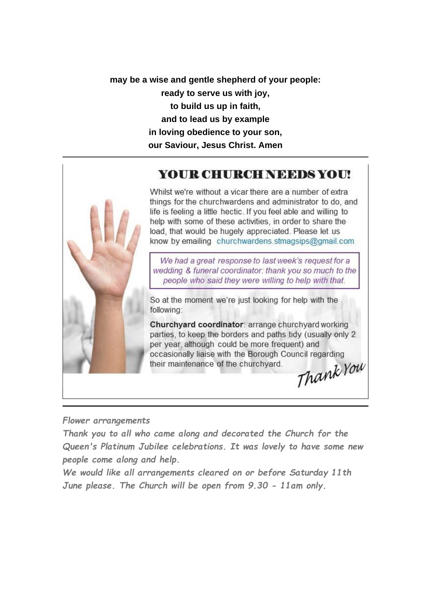**may be a wise and gentle shepherd of your people: ready to serve us with joy, to build us up in faith, and to lead us by example in loving obedience to your son, our Saviour, Jesus Christ. Amen**

# YOUR CHURCH NEEDS YOU!



Whilst we're without a vicar there are a number of extra things for the churchwardens and administrator to do, and life is feeling a little hectic. If you feel able and willing to help with some of these activities, in order to share the load, that would be hugely appreciated. Please let us know by emailing churchwardens.stmagsips@gmail.com

We had a great response to last week's request for a wedding & funeral coordinator: thank you so much to the people who said they were willing to help with that.

So at the moment we're just looking for help with the following:

Churchyard coordinator: arrange churchyard working parties, to keep the borders and paths tidy (usually only 2 per year, although could be more frequent) and occasionally liaise with the Borough Council regarding their maintenance of the churchyard.

Thank You

### *Flower arrangements*

*Thank you to all who came along and decorated the Church for the Queen's Platinum Jubilee celebrations. It was lovely to have some new people come along and help.*

*We would like all arrangements cleared on or before Saturday 11th June please. The Church will be open from 9.30 - 11am only.*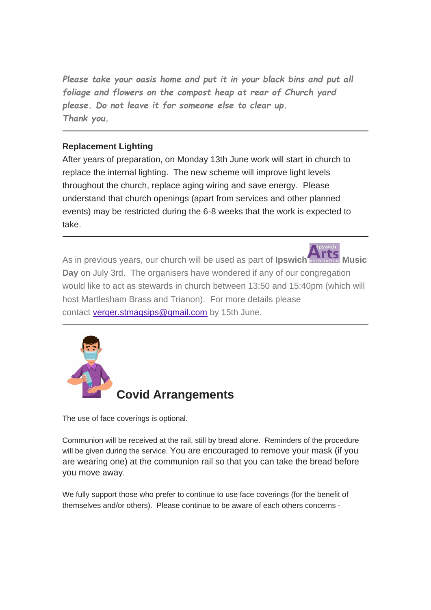*Please take your oasis home and put it in your black bins and put all foliage and flowers on the compost heap at rear of Church yard please. Do not leave it for someone else to clear up. Thank you.*

## **Replacement Lighting**

After years of preparation, on Monday 13th June work will start in church to replace the internal lighting. The new scheme will improve light levels throughout the church, replace aging wiring and save energy. Please understand that church openings (apart from services and other planned events) may be restricted during the 6-8 weeks that the work is expected to take.

As in previous years, our church will be used as part of **Ipswic[h](https://stmargaretsipswich.us18.list-manage.com/track/click?u=00f35ffe4f14f96cb2284d5af&id=2eda3766cf&e=a489694140) Music Day** on July 3rd. The organisers have wondered if any of our congregation would like to act as stewards in church between 13:50 and 15:40pm (which will host Martlesham Brass and Trianon). For more details please contact [verger.stmagsips@gmail.com](mailto:verger.stmagsips@gmail.com?subject=Music%20Day) by 15th June.



The use of face coverings is optional.

Communion will be received at the rail, still by bread alone. Reminders of the procedure will be given during the service. You are encouraged to remove your mask (if you are wearing one) at the communion rail so that you can take the bread before you move away.

We fully support those who prefer to continue to use face coverings (for the benefit of themselves and/or others). Please continue to be aware of each others concerns -